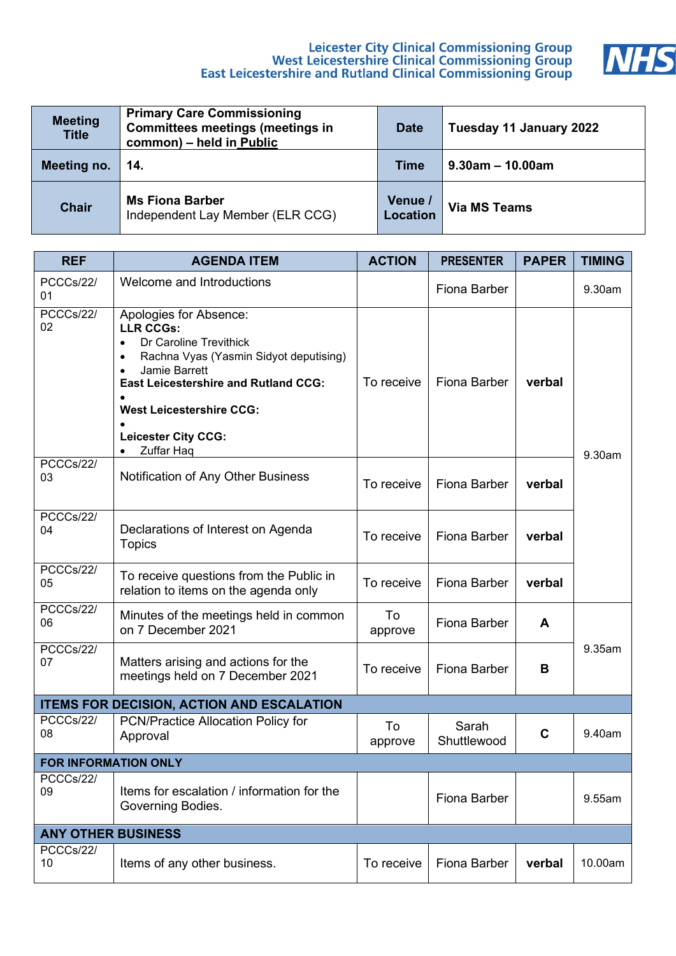# Leicester City Clinical Commissioning Group<br>West Leicestershire Clinical Commissioning Group<br>East Leicestershire and Rutland Clinical Commissioning Group



| <b>Meeting</b><br><b>Title</b> | <b>Primary Care Commissioning</b><br><b>Committees meetings (meetings in</b><br>common) - held in Public | <b>Date</b>                | Tuesday 11 January 2022 |
|--------------------------------|----------------------------------------------------------------------------------------------------------|----------------------------|-------------------------|
| Meeting no.                    | 14.                                                                                                      | Time                       | $9.30$ am – 10.00am     |
| <b>Chair</b>                   | <b>Ms Fiona Barber</b><br>Independent Lay Member (ELR CCG)                                               | Venue /<br><b>Location</b> | <b>Via MS Teams</b>     |

| <b>REF</b>                  | <b>AGENDA ITEM</b>                                                                                                                                                                                                                                                                                   | <b>ACTION</b> | <b>PRESENTER</b>     | <b>PAPER</b> | <b>TIMING</b> |
|-----------------------------|------------------------------------------------------------------------------------------------------------------------------------------------------------------------------------------------------------------------------------------------------------------------------------------------------|---------------|----------------------|--------------|---------------|
| PCCCs/22/<br>01             | Welcome and Introductions                                                                                                                                                                                                                                                                            |               | <b>Fiona Barber</b>  |              | 9.30am        |
| PCCCs/22/<br>02             | Apologies for Absence:<br><b>LLR CCGs:</b><br>Dr Caroline Trevithick<br>$\bullet$<br>Rachna Vyas (Yasmin Sidyot deputising)<br>$\bullet$<br>Jamie Barrett<br><b>East Leicestershire and Rutland CCG:</b><br><b>West Leicestershire CCG:</b><br><b>Leicester City CCG:</b><br>Zuffar Haq<br>$\bullet$ | To receive    | <b>Fiona Barber</b>  | verbal       | 9.30am        |
| PCCCs/22/<br>03             | Notification of Any Other Business                                                                                                                                                                                                                                                                   | To receive    | <b>Fiona Barber</b>  | verbal       |               |
| PCCCs/22/<br>04             | Declarations of Interest on Agenda<br><b>Topics</b>                                                                                                                                                                                                                                                  | To receive    | <b>Fiona Barber</b>  | verbal       |               |
| PCCCs/22/<br>05             | To receive questions from the Public in<br>relation to items on the agenda only                                                                                                                                                                                                                      | To receive    | <b>Fiona Barber</b>  | verbal       |               |
| PCCCs/22/<br>06             | Minutes of the meetings held in common<br>on 7 December 2021                                                                                                                                                                                                                                         | To<br>approve | <b>Fiona Barber</b>  | A            |               |
| PCCCs/22/<br>07             | Matters arising and actions for the<br>meetings held on 7 December 2021                                                                                                                                                                                                                              | To receive    | Fiona Barber         | В            | 9.35am        |
|                             | <b>ITEMS FOR DECISION, ACTION AND ESCALATION</b>                                                                                                                                                                                                                                                     |               |                      |              |               |
| PCCCs/22/<br>08             | PCN/Practice Allocation Policy for<br>Approval                                                                                                                                                                                                                                                       | To<br>approve | Sarah<br>Shuttlewood | C            | 9.40am        |
| <b>FOR INFORMATION ONLY</b> |                                                                                                                                                                                                                                                                                                      |               |                      |              |               |
| PCCCs/22/<br>09             | Items for escalation / information for the<br>Governing Bodies.                                                                                                                                                                                                                                      |               | <b>Fiona Barber</b>  |              | 9.55am        |
| <b>ANY OTHER BUSINESS</b>   |                                                                                                                                                                                                                                                                                                      |               |                      |              |               |
| PCCCs/22/<br>10             | Items of any other business.                                                                                                                                                                                                                                                                         | To receive    | <b>Fiona Barber</b>  | verbal       | 10.00am       |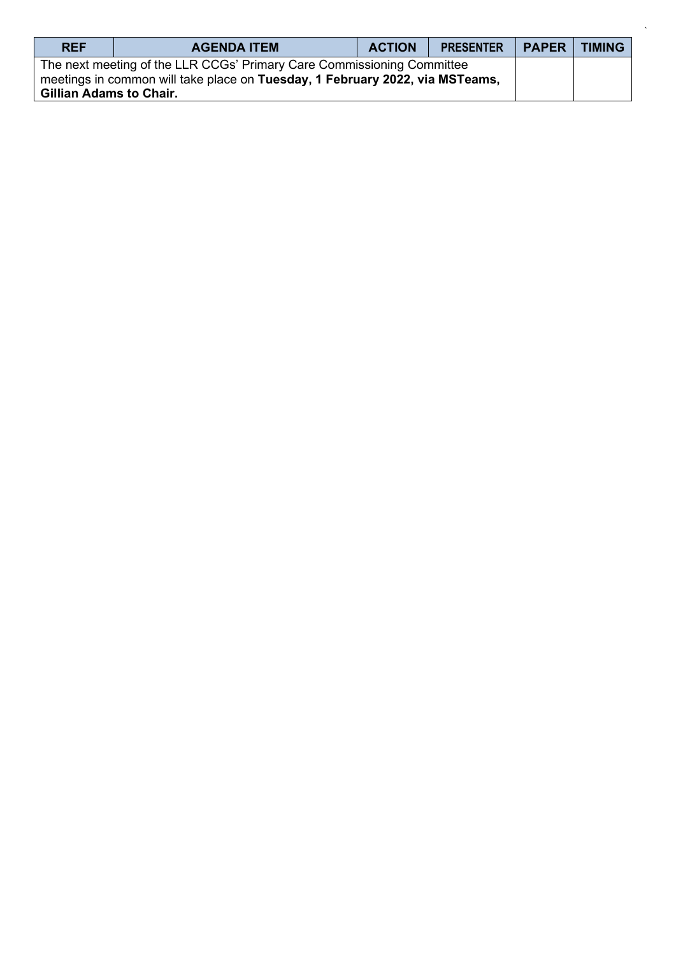| <b>REF</b>                     | <b>AGENDA ITEM</b>                                                                                                                                     | <b>ACTION</b> | <b>PRESENTER</b> | <b>PAPER</b> | <b>TIMING</b> |
|--------------------------------|--------------------------------------------------------------------------------------------------------------------------------------------------------|---------------|------------------|--------------|---------------|
| <b>Gillian Adams to Chair.</b> | The next meeting of the LLR CCGs' Primary Care Commissioning Committee<br>meetings in common will take place on Tuesday, 1 February 2022, via MSTeams, |               |                  |              |               |

`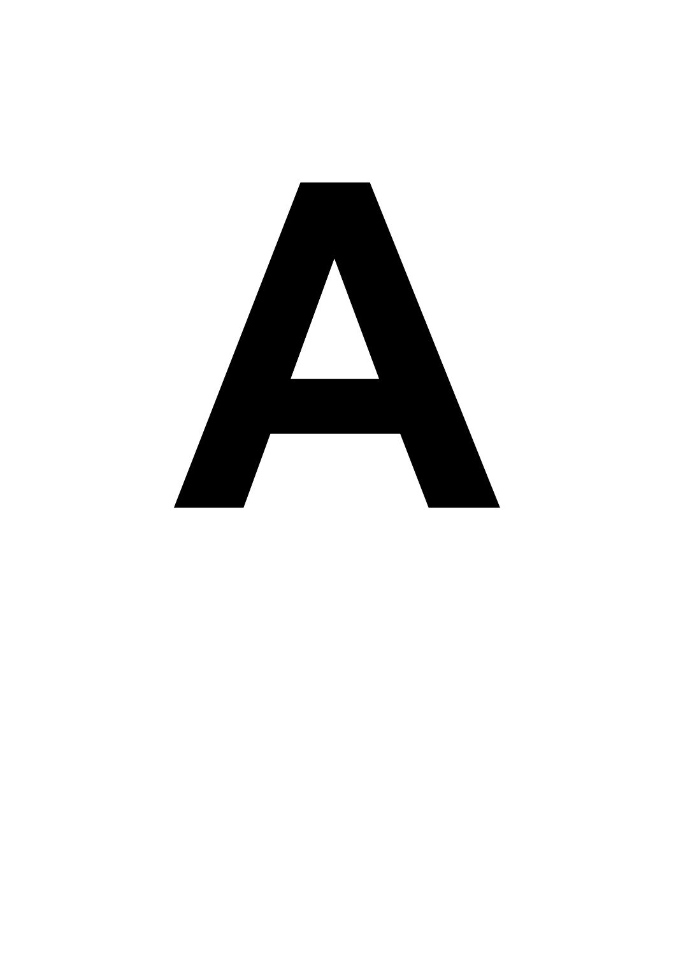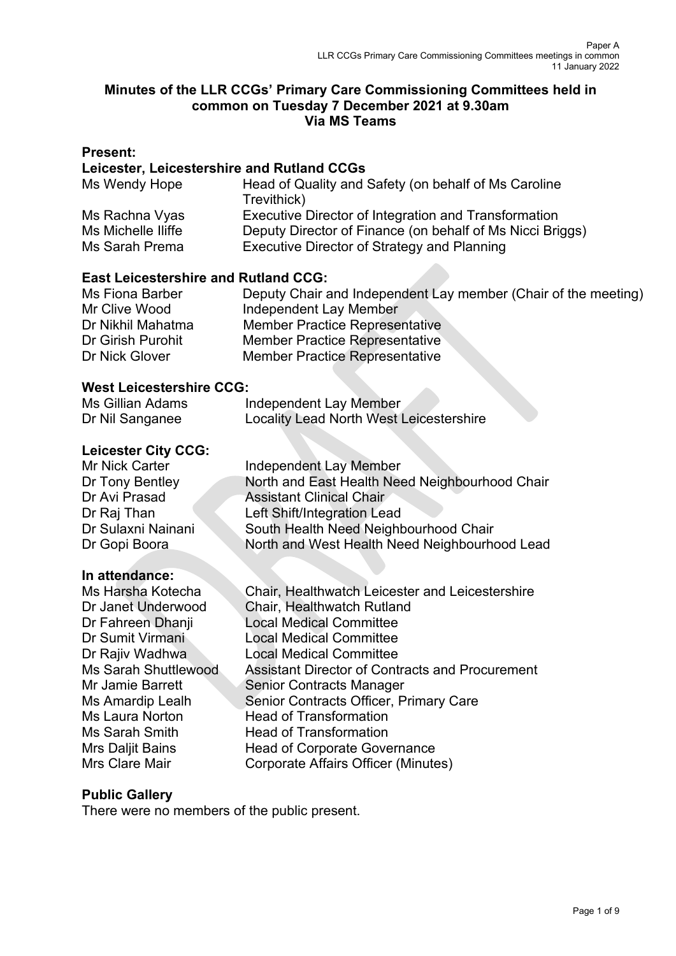### **Minutes of the LLR CCGs' Primary Care Commissioning Committees held in common on Tuesday 7 December 2021 at 9.30am Via MS Teams**

### **Present:**

### **Leicester, Leicestershire and Rutland CCGs**

| Ms Wendy Hope      | Head of Quality and Safety (on behalf of Ms Caroline<br>Trevithick) |
|--------------------|---------------------------------------------------------------------|
| Ms Rachna Vyas     | Executive Director of Integration and Transformation                |
| Ms Michelle Iliffe | Deputy Director of Finance (on behalf of Ms Nicci Briggs)           |
| Ms Sarah Prema     | Executive Director of Strategy and Planning                         |

### **East Leicestershire and Rutland CCG:**

| Ms Fiona Barber   | Deputy Chair and Independent Lay member (Chair of the meeting) |
|-------------------|----------------------------------------------------------------|
| Mr Clive Wood     | Independent Lay Member                                         |
| Dr Nikhil Mahatma | <b>Member Practice Representative</b>                          |
| Dr Girish Purohit | <b>Member Practice Representative</b>                          |
| Dr Nick Glover    | <b>Member Practice Representative</b>                          |

### **West Leicestershire CCG:**

| Ms Gillian Adams | Independent Lay Member                         |
|------------------|------------------------------------------------|
| Dr Nil Sanganee  | <b>Locality Lead North West Leicestershire</b> |

### **Leicester City CCG:**

| Mr Nick Carter     | Independent Lay Member                         |
|--------------------|------------------------------------------------|
| Dr Tony Bentley    | North and East Health Need Neighbourhood Chair |
| Dr Avi Prasad      | <b>Assistant Clinical Chair</b>                |
| Dr Raj Than        | Left Shift/Integration Lead                    |
| Dr Sulaxni Nainani | South Health Need Neighbourhood Chair          |
| Dr Gopi Boora      | North and West Health Need Neighbourhood Lead  |
|                    |                                                |

#### **In attendance:**

Ms Harsha Kotecha Chair, Healthwatch Leicester and Leicestershire Dr Janet Underwood Chair, Healthwatch Rutland Dr Fahreen Dhanji Local Medical Committee Dr Sumit Virmani Local Medical Committee Dr Rajiv Wadhwa Local Medical Committee Ms Sarah Shuttlewood Assistant Director of Contracts and Procurement Mr Jamie Barrett Senior Contracts Manager Ms Amardip Lealh Senior Contracts Officer, Primary Care<br>Ms Laura Norton Head of Transformation Head of Transformation Ms Sarah Smith Head of Transformation Mrs Daljit Bains **Head of Corporate Governance**<br>Mrs Clare Mair **Corporate Affairs Officer** (Minute Corporate Affairs Officer (Minutes)

### **Public Gallery**

There were no members of the public present.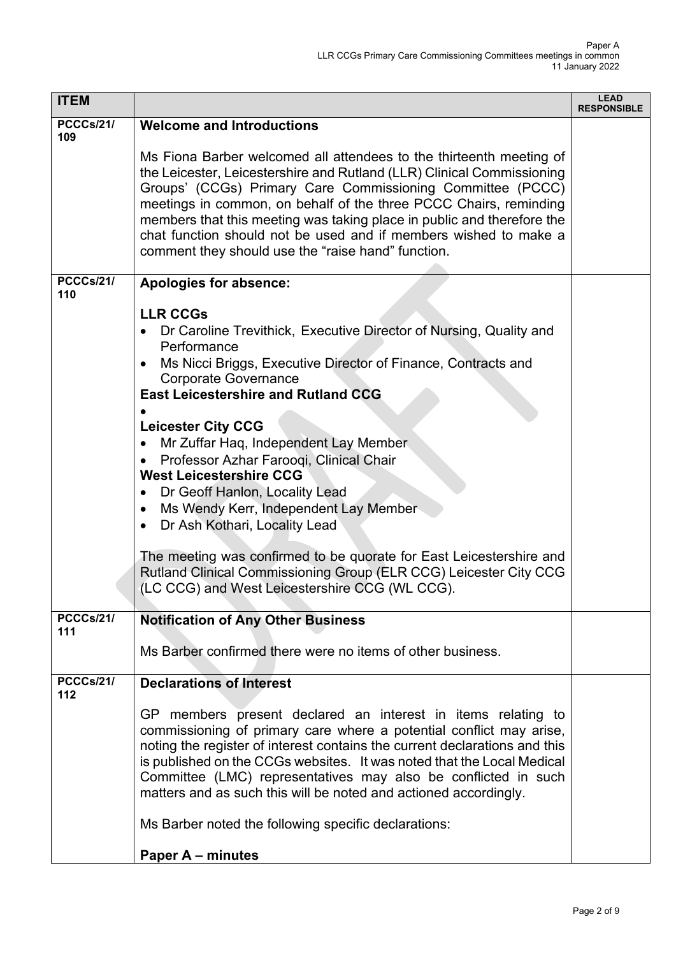| <b>ITEM</b>             |                                                                                                                                                                                                                                                                                                                                                                                                                                                                                                                                                                                                                                                                                                                                                                     | <b>LEAD</b><br><b>RESPONSIBLE</b> |
|-------------------------|---------------------------------------------------------------------------------------------------------------------------------------------------------------------------------------------------------------------------------------------------------------------------------------------------------------------------------------------------------------------------------------------------------------------------------------------------------------------------------------------------------------------------------------------------------------------------------------------------------------------------------------------------------------------------------------------------------------------------------------------------------------------|-----------------------------------|
| PCCCs/21/<br>109        | <b>Welcome and Introductions</b><br>Ms Fiona Barber welcomed all attendees to the thirteenth meeting of<br>the Leicester, Leicestershire and Rutland (LLR) Clinical Commissioning<br>Groups' (CCGs) Primary Care Commissioning Committee (PCCC)                                                                                                                                                                                                                                                                                                                                                                                                                                                                                                                     |                                   |
|                         | meetings in common, on behalf of the three PCCC Chairs, reminding<br>members that this meeting was taking place in public and therefore the<br>chat function should not be used and if members wished to make a<br>comment they should use the "raise hand" function.                                                                                                                                                                                                                                                                                                                                                                                                                                                                                               |                                   |
| <b>PCCCs/21/</b><br>110 | <b>Apologies for absence:</b>                                                                                                                                                                                                                                                                                                                                                                                                                                                                                                                                                                                                                                                                                                                                       |                                   |
|                         | <b>LLR CCGs</b><br>Dr Caroline Trevithick, Executive Director of Nursing, Quality and<br>Performance<br>Ms Nicci Briggs, Executive Director of Finance, Contracts and<br><b>Corporate Governance</b><br><b>East Leicestershire and Rutland CCG</b><br><b>Leicester City CCG</b><br>Mr Zuffar Haq, Independent Lay Member<br>$\bullet$<br>Professor Azhar Farooqi, Clinical Chair<br><b>West Leicestershire CCG</b><br>Dr Geoff Hanlon, Locality Lead<br>$\bullet$<br>Ms Wendy Kerr, Independent Lay Member<br>$\bullet$<br>Dr Ash Kothari, Locality Lead<br>$\bullet$<br>The meeting was confirmed to be quorate for East Leicestershire and<br>Rutland Clinical Commissioning Group (ELR CCG) Leicester City CCG<br>(LC CCG) and West Leicestershire CCG (WL CCG). |                                   |
| PCCCs/21/<br>111        | <b>Notification of Any Other Business</b><br>Ms Barber confirmed there were no items of other business.                                                                                                                                                                                                                                                                                                                                                                                                                                                                                                                                                                                                                                                             |                                   |
| PCCCs/21/<br>112        | <b>Declarations of Interest</b>                                                                                                                                                                                                                                                                                                                                                                                                                                                                                                                                                                                                                                                                                                                                     |                                   |
|                         | GP members present declared an interest in items relating to<br>commissioning of primary care where a potential conflict may arise,<br>noting the register of interest contains the current declarations and this<br>is published on the CCGs websites. It was noted that the Local Medical<br>Committee (LMC) representatives may also be conflicted in such<br>matters and as such this will be noted and actioned accordingly.                                                                                                                                                                                                                                                                                                                                   |                                   |
|                         | Ms Barber noted the following specific declarations:                                                                                                                                                                                                                                                                                                                                                                                                                                                                                                                                                                                                                                                                                                                |                                   |
|                         | <b>Paper A – minutes</b>                                                                                                                                                                                                                                                                                                                                                                                                                                                                                                                                                                                                                                                                                                                                            |                                   |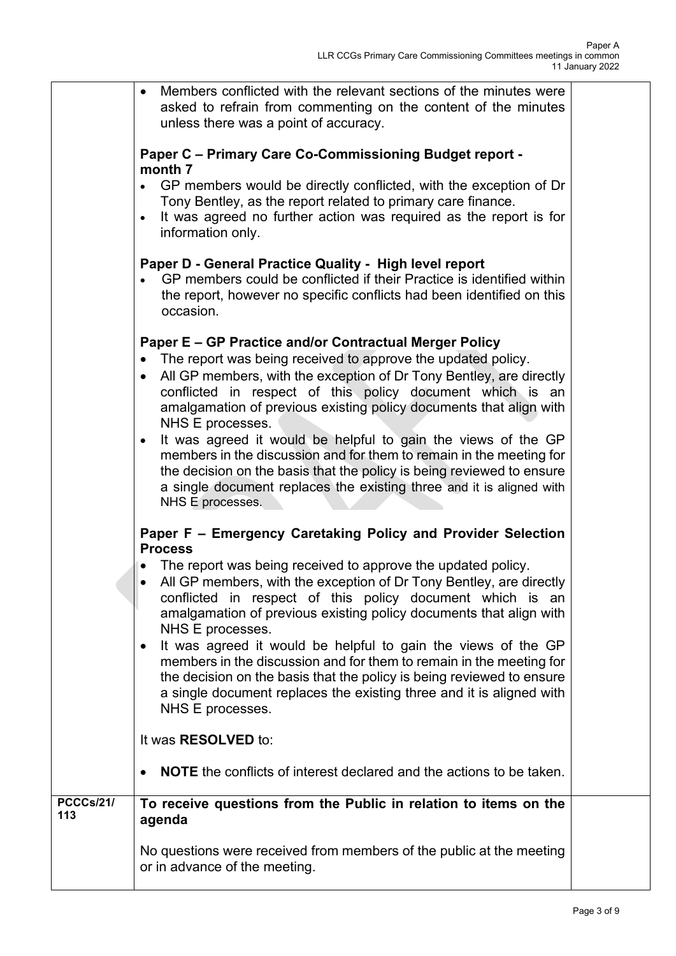|                         | Members conflicted with the relevant sections of the minutes were<br>$\bullet$<br>asked to refrain from commenting on the content of the minutes<br>unless there was a point of accuracy.                                                                                                                                                                                                                                                                                                                                                                                                                                                                                                                |  |
|-------------------------|----------------------------------------------------------------------------------------------------------------------------------------------------------------------------------------------------------------------------------------------------------------------------------------------------------------------------------------------------------------------------------------------------------------------------------------------------------------------------------------------------------------------------------------------------------------------------------------------------------------------------------------------------------------------------------------------------------|--|
|                         | <b>Paper C - Primary Care Co-Commissioning Budget report -</b><br>month 7<br>GP members would be directly conflicted, with the exception of Dr<br>Tony Bentley, as the report related to primary care finance.<br>It was agreed no further action was required as the report is for<br>$\bullet$<br>information only.                                                                                                                                                                                                                                                                                                                                                                                    |  |
|                         | Paper D - General Practice Quality - High level report<br>GP members could be conflicted if their Practice is identified within<br>$\bullet$<br>the report, however no specific conflicts had been identified on this<br>occasion.                                                                                                                                                                                                                                                                                                                                                                                                                                                                       |  |
|                         | Paper E - GP Practice and/or Contractual Merger Policy<br>The report was being received to approve the updated policy.<br>$\bullet$<br>All GP members, with the exception of Dr Tony Bentley, are directly<br>$\bullet$<br>conflicted in respect of this policy document which is an<br>amalgamation of previous existing policy documents that align with<br>NHS E processes.<br>It was agreed it would be helpful to gain the views of the GP<br>$\bullet$<br>members in the discussion and for them to remain in the meeting for<br>the decision on the basis that the policy is being reviewed to ensure<br>a single document replaces the existing three and it is aligned with<br>NHS E processes. |  |
|                         | Paper F - Emergency Caretaking Policy and Provider Selection<br><b>Process</b><br>The report was being received to approve the updated policy.<br>All GP members, with the exception of Dr Tony Bentley, are directly<br>conflicted in respect of this policy document which is an<br>amalgamation of previous existing policy documents that align with<br>NHS E processes.<br>It was agreed it would be helpful to gain the views of the GP<br>$\bullet$<br>members in the discussion and for them to remain in the meeting for<br>the decision on the basis that the policy is being reviewed to ensure<br>a single document replaces the existing three and it is aligned with<br>NHS E processes.   |  |
|                         | It was RESOLVED to:<br><b>NOTE</b> the conflicts of interest declared and the actions to be taken.                                                                                                                                                                                                                                                                                                                                                                                                                                                                                                                                                                                                       |  |
| <b>PCCCs/21/</b><br>113 | To receive questions from the Public in relation to items on the<br>agenda<br>No questions were received from members of the public at the meeting<br>or in advance of the meeting.                                                                                                                                                                                                                                                                                                                                                                                                                                                                                                                      |  |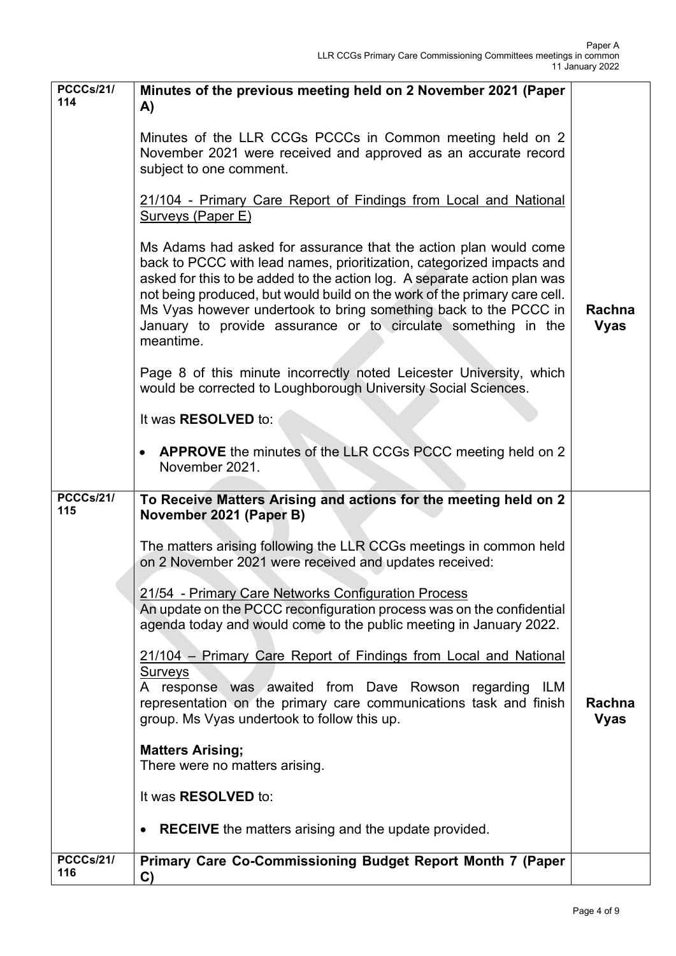| <b>PCCCs/21/</b><br>114                     | Minutes of the previous meeting held on 2 November 2021 (Paper<br>A)<br>Minutes of the LLR CCGs PCCCs in Common meeting held on 2<br>November 2021 were received and approved as an accurate record<br>subject to one comment.<br>21/104 - Primary Care Report of Findings from Local and National<br>Surveys (Paper E)<br>Ms Adams had asked for assurance that the action plan would come<br>back to PCCC with lead names, prioritization, categorized impacts and<br>asked for this to be added to the action log. A separate action plan was<br>not being produced, but would build on the work of the primary care cell.<br>Ms Vyas however undertook to bring something back to the PCCC in<br>January to provide assurance or to circulate something in the<br>meantime.<br>Page 8 of this minute incorrectly noted Leicester University, which<br>would be corrected to Loughborough University Social Sciences.<br>It was <b>RESOLVED</b> to:<br>• APPROVE the minutes of the LLR CCGs PCCC meeting held on 2<br>November 2021. | Rachna<br><b>Vyas</b> |
|---------------------------------------------|------------------------------------------------------------------------------------------------------------------------------------------------------------------------------------------------------------------------------------------------------------------------------------------------------------------------------------------------------------------------------------------------------------------------------------------------------------------------------------------------------------------------------------------------------------------------------------------------------------------------------------------------------------------------------------------------------------------------------------------------------------------------------------------------------------------------------------------------------------------------------------------------------------------------------------------------------------------------------------------------------------------------------------------|-----------------------|
| <b>PCCCs/21/</b><br>115<br><b>PCCCs/21/</b> | To Receive Matters Arising and actions for the meeting held on 2<br>November 2021 (Paper B)<br>The matters arising following the LLR CCGs meetings in common held<br>on 2 November 2021 were received and updates received:<br>21/54 - Primary Care Networks Configuration Process<br>An update on the PCCC reconfiguration process was on the confidential<br>agenda today and would come to the public meeting in January 2022.<br>21/104 – Primary Care Report of Findings from Local and National<br>Surveys<br>A response was awaited from Dave Rowson regarding ILM<br>representation on the primary care communications task and finish<br>group. Ms Vyas undertook to follow this up.<br><b>Matters Arising;</b><br>There were no matters arising.<br>It was RESOLVED to:<br><b>RECEIVE</b> the matters arising and the update provided.<br>$\bullet$<br>Primary Care Co-Commissioning Budget Report Month 7 (Paper                                                                                                              | Rachna<br><b>Vyas</b> |
| 116                                         | C)                                                                                                                                                                                                                                                                                                                                                                                                                                                                                                                                                                                                                                                                                                                                                                                                                                                                                                                                                                                                                                       |                       |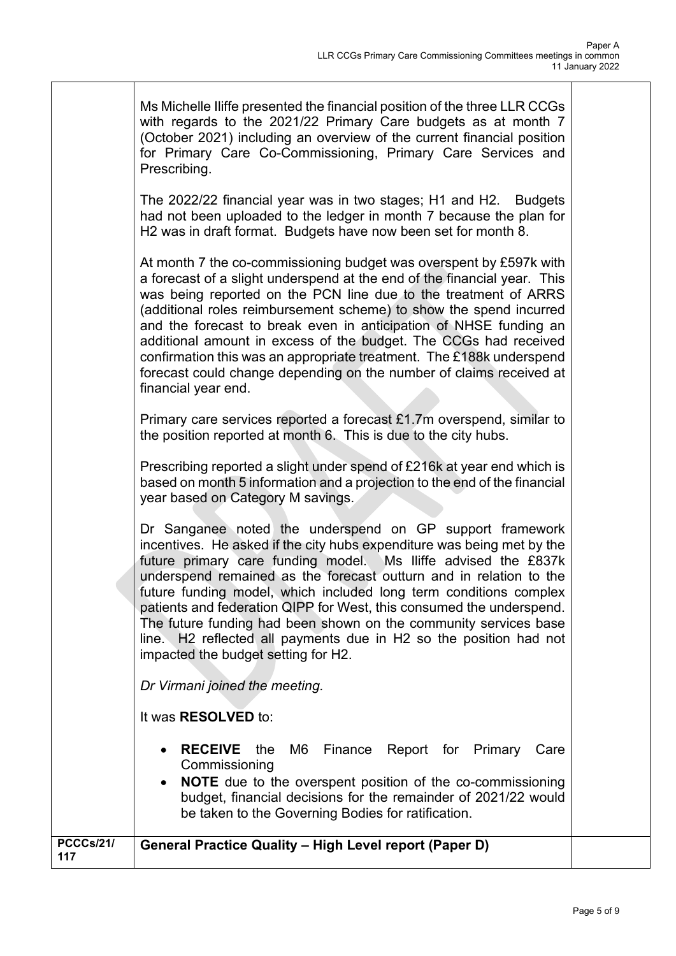| Ms Michelle Iliffe presented the financial position of the three LLR CCGs<br>with regards to the 2021/22 Primary Care budgets as at month $7$<br>(October 2021) including an overview of the current financial position |
|-------------------------------------------------------------------------------------------------------------------------------------------------------------------------------------------------------------------------|
| for Primary Care Co-Commissioning, Primary Care Services and<br>Prescribing.                                                                                                                                            |

The 2022/22 financial year was in two stages; H1 and H2. Budgets had not been uploaded to the ledger in month 7 because the plan for H2 was in draft format. Budgets have now been set for month 8.

At month 7 the co-commissioning budget was overspent by £597k with a forecast of a slight underspend at the end of the financial year. This was being reported on the PCN line due to the treatment of ARRS (additional roles reimbursement scheme) to show the spend incurred and the forecast to break even in anticipation of NHSE funding an additional amount in excess of the budget. The CCGs had received confirmation this was an appropriate treatment. The £188k underspend forecast could change depending on the number of claims received at financial year end.

Primary care services reported a forecast £1.7m overspend, similar to the position reported at month 6. This is due to the city hubs.

Prescribing reported a slight under spend of £216k at year end which is based on month 5 information and a projection to the end of the financial year based on Category M savings.

Dr Sanganee noted the underspend on GP support framework incentives. He asked if the city hubs expenditure was being met by the future primary care funding model. Ms Iliffe advised the £837k underspend remained as the forecast outturn and in relation to the future funding model, which included long term conditions complex patients and federation QIPP for West, this consumed the underspend. The future funding had been shown on the community services base line. H2 reflected all payments due in H2 so the position had not impacted the budget setting for H2.

*Dr Virmani joined the meeting.* 

It was **RESOLVED** to:

- **RECEIVE** the M6 Finance Report for Primary Care **Commissioning**
- **NOTE** due to the overspent position of the co-commissioning budget, financial decisions for the remainder of 2021/22 would be taken to the Governing Bodies for ratification.

### **PCCCs/21/ <sup>117</sup> General Practice Quality – High Level report (Paper D)**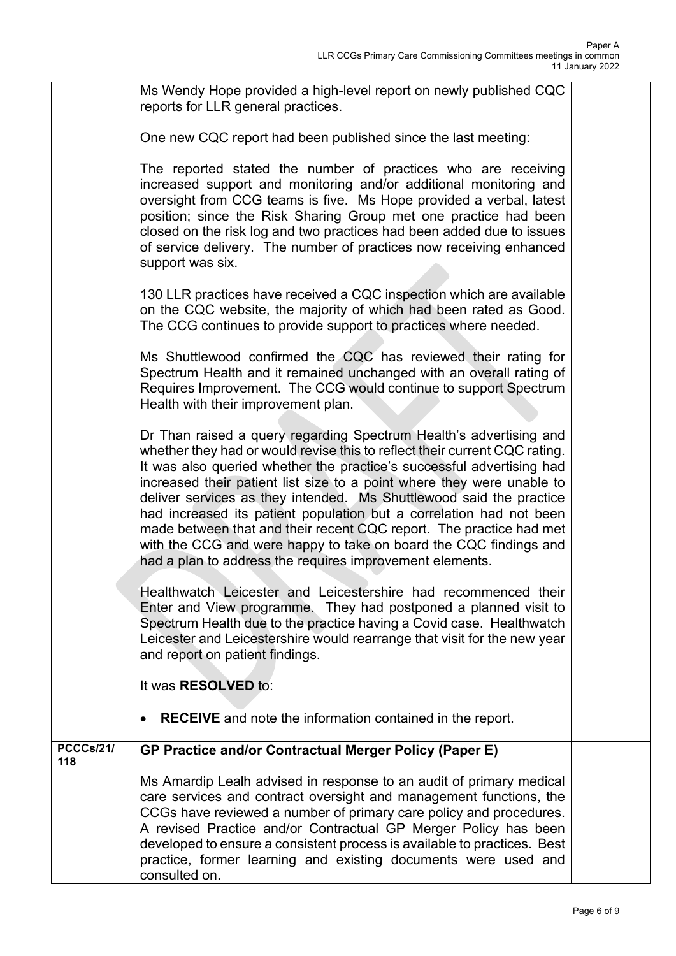|                         | Ms Wendy Hope provided a high-level report on newly published CQC<br>reports for LLR general practices.                                                                                                                                                                                                                                                                                                                                                                                                                                                                                                                                                   |  |
|-------------------------|-----------------------------------------------------------------------------------------------------------------------------------------------------------------------------------------------------------------------------------------------------------------------------------------------------------------------------------------------------------------------------------------------------------------------------------------------------------------------------------------------------------------------------------------------------------------------------------------------------------------------------------------------------------|--|
|                         | One new CQC report had been published since the last meeting:                                                                                                                                                                                                                                                                                                                                                                                                                                                                                                                                                                                             |  |
|                         | The reported stated the number of practices who are receiving<br>increased support and monitoring and/or additional monitoring and<br>oversight from CCG teams is five. Ms Hope provided a verbal, latest<br>position; since the Risk Sharing Group met one practice had been<br>closed on the risk log and two practices had been added due to issues<br>of service delivery. The number of practices now receiving enhanced<br>support was six.                                                                                                                                                                                                         |  |
|                         | 130 LLR practices have received a CQC inspection which are available<br>on the CQC website, the majority of which had been rated as Good.<br>The CCG continues to provide support to practices where needed.                                                                                                                                                                                                                                                                                                                                                                                                                                              |  |
|                         | Ms Shuttlewood confirmed the CQC has reviewed their rating for<br>Spectrum Health and it remained unchanged with an overall rating of<br>Requires Improvement. The CCG would continue to support Spectrum<br>Health with their improvement plan.                                                                                                                                                                                                                                                                                                                                                                                                          |  |
|                         | Dr Than raised a query regarding Spectrum Health's advertising and<br>whether they had or would revise this to reflect their current CQC rating.<br>It was also queried whether the practice's successful advertising had<br>increased their patient list size to a point where they were unable to<br>deliver services as they intended. Ms Shuttlewood said the practice<br>had increased its patient population but a correlation had not been<br>made between that and their recent CQC report. The practice had met<br>with the CCG and were happy to take on board the CQC findings and<br>had a plan to address the requires improvement elements. |  |
|                         | Healthwatch Leicester and Leicestershire had recommenced their<br>Enter and View programme. They had postponed a planned visit to<br>Spectrum Health due to the practice having a Covid case. Healthwatch<br>Leicester and Leicestershire would rearrange that visit for the new year<br>and report on patient findings.                                                                                                                                                                                                                                                                                                                                  |  |
|                         | It was RESOLVED to:                                                                                                                                                                                                                                                                                                                                                                                                                                                                                                                                                                                                                                       |  |
|                         | <b>RECEIVE</b> and note the information contained in the report.<br>$\bullet$                                                                                                                                                                                                                                                                                                                                                                                                                                                                                                                                                                             |  |
| <b>PCCCs/21/</b><br>118 | <b>GP Practice and/or Contractual Merger Policy (Paper E)</b>                                                                                                                                                                                                                                                                                                                                                                                                                                                                                                                                                                                             |  |
|                         | Ms Amardip Lealh advised in response to an audit of primary medical<br>care services and contract oversight and management functions, the<br>CCGs have reviewed a number of primary care policy and procedures.<br>A revised Practice and/or Contractual GP Merger Policy has been<br>developed to ensure a consistent process is available to practices. Best<br>practice, former learning and existing documents were used and<br>consulted on.                                                                                                                                                                                                         |  |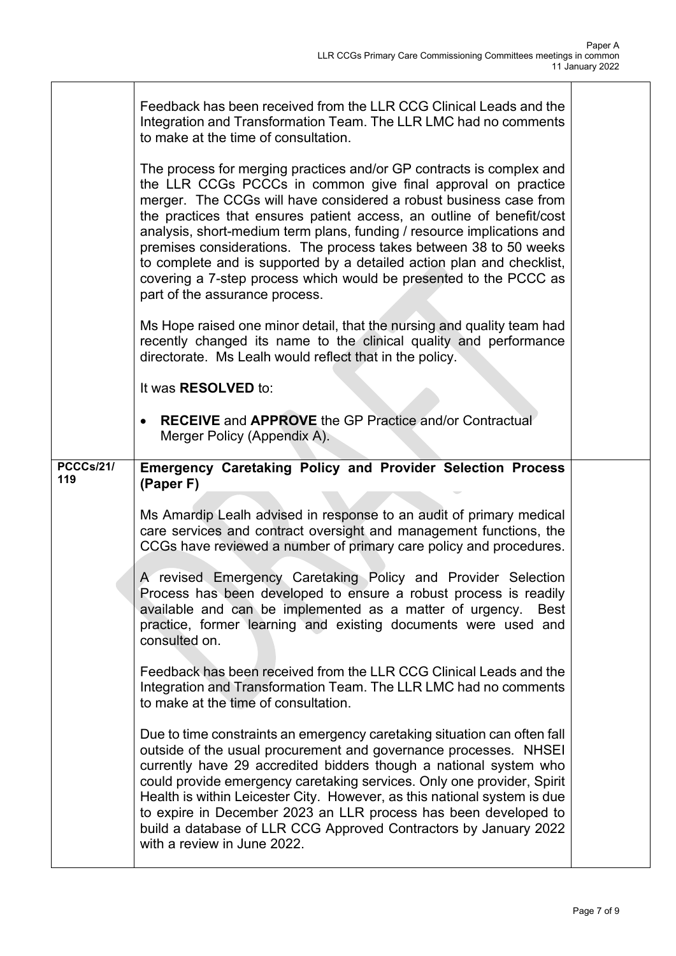Τ

|                         | Feedback has been received from the LLR CCG Clinical Leads and the<br>Integration and Transformation Team. The LLR LMC had no comments<br>to make at the time of consultation.                                                                                                                                                                                                                                                                                                                                                                                                                                    |  |
|-------------------------|-------------------------------------------------------------------------------------------------------------------------------------------------------------------------------------------------------------------------------------------------------------------------------------------------------------------------------------------------------------------------------------------------------------------------------------------------------------------------------------------------------------------------------------------------------------------------------------------------------------------|--|
|                         | The process for merging practices and/or GP contracts is complex and<br>the LLR CCGs PCCCs in common give final approval on practice<br>merger. The CCGs will have considered a robust business case from<br>the practices that ensures patient access, an outline of benefit/cost<br>analysis, short-medium term plans, funding / resource implications and<br>premises considerations. The process takes between 38 to 50 weeks<br>to complete and is supported by a detailed action plan and checklist,<br>covering a 7-step process which would be presented to the PCCC as<br>part of the assurance process. |  |
|                         | Ms Hope raised one minor detail, that the nursing and quality team had<br>recently changed its name to the clinical quality and performance<br>directorate. Ms Lealh would reflect that in the policy.                                                                                                                                                                                                                                                                                                                                                                                                            |  |
|                         | It was RESOLVED to:                                                                                                                                                                                                                                                                                                                                                                                                                                                                                                                                                                                               |  |
|                         | <b>RECEIVE</b> and <b>APPROVE</b> the GP Practice and/or Contractual<br>Merger Policy (Appendix A).                                                                                                                                                                                                                                                                                                                                                                                                                                                                                                               |  |
| <b>PCCCs/21/</b><br>119 | <b>Emergency Caretaking Policy and Provider Selection Process</b><br>(Paper F)                                                                                                                                                                                                                                                                                                                                                                                                                                                                                                                                    |  |
|                         | Ms Amardip Lealh advised in response to an audit of primary medical<br>care services and contract oversight and management functions, the<br>CCGs have reviewed a number of primary care policy and procedures.                                                                                                                                                                                                                                                                                                                                                                                                   |  |
|                         | A revised Emergency Caretaking Policy and Provider Selection<br>Process has been developed to ensure a robust process is readily<br>available and can be implemented as a matter of urgency.<br>Best<br>practice, former learning and existing documents were used and<br>consulted on.                                                                                                                                                                                                                                                                                                                           |  |
|                         | Feedback has been received from the LLR CCG Clinical Leads and the<br>Integration and Transformation Team. The LLR LMC had no comments<br>to make at the time of consultation.                                                                                                                                                                                                                                                                                                                                                                                                                                    |  |
|                         | Due to time constraints an emergency caretaking situation can often fall<br>outside of the usual procurement and governance processes. NHSEI<br>currently have 29 accredited bidders though a national system who<br>could provide emergency caretaking services. Only one provider, Spirit<br>Health is within Leicester City. However, as this national system is due<br>to expire in December 2023 an LLR process has been developed to<br>build a database of LLR CCG Approved Contractors by January 2022                                                                                                    |  |

 $\mathsf{r}$ 

٦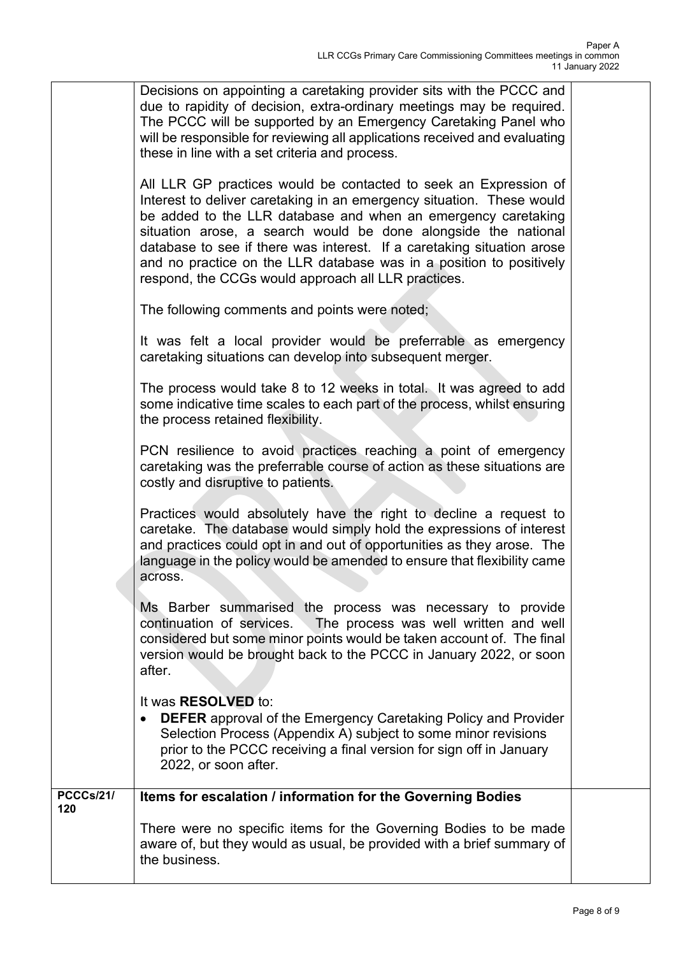|                         | Decisions on appointing a caretaking provider sits with the PCCC and<br>due to rapidity of decision, extra-ordinary meetings may be required.<br>The PCCC will be supported by an Emergency Caretaking Panel who<br>will be responsible for reviewing all applications received and evaluating<br>these in line with a set criteria and process.<br>All LLR GP practices would be contacted to seek an Expression of<br>Interest to deliver caretaking in an emergency situation. These would<br>be added to the LLR database and when an emergency caretaking<br>situation arose, a search would be done alongside the national<br>database to see if there was interest. If a caretaking situation arose<br>and no practice on the LLR database was in a position to positively<br>respond, the CCGs would approach all LLR practices. |  |
|-------------------------|------------------------------------------------------------------------------------------------------------------------------------------------------------------------------------------------------------------------------------------------------------------------------------------------------------------------------------------------------------------------------------------------------------------------------------------------------------------------------------------------------------------------------------------------------------------------------------------------------------------------------------------------------------------------------------------------------------------------------------------------------------------------------------------------------------------------------------------|--|
|                         | The following comments and points were noted;                                                                                                                                                                                                                                                                                                                                                                                                                                                                                                                                                                                                                                                                                                                                                                                            |  |
|                         | It was felt a local provider would be preferrable as emergency<br>caretaking situations can develop into subsequent merger.                                                                                                                                                                                                                                                                                                                                                                                                                                                                                                                                                                                                                                                                                                              |  |
|                         | The process would take 8 to 12 weeks in total. It was agreed to add<br>some indicative time scales to each part of the process, whilst ensuring<br>the process retained flexibility.                                                                                                                                                                                                                                                                                                                                                                                                                                                                                                                                                                                                                                                     |  |
|                         | PCN resilience to avoid practices reaching a point of emergency<br>caretaking was the preferrable course of action as these situations are<br>costly and disruptive to patients.                                                                                                                                                                                                                                                                                                                                                                                                                                                                                                                                                                                                                                                         |  |
|                         | Practices would absolutely have the right to decline a request to<br>caretake. The database would simply hold the expressions of interest<br>and practices could opt in and out of opportunities as they arose. The<br>language in the policy would be amended to ensure that flexibility came<br>across.                                                                                                                                                                                                                                                                                                                                                                                                                                                                                                                                |  |
|                         | Ms Barber summarised the process was necessary to provide<br>The process was well written and well<br>continuation of services.<br>considered but some minor points would be taken account of. The final<br>version would be brought back to the PCCC in January 2022, or soon<br>after.                                                                                                                                                                                                                                                                                                                                                                                                                                                                                                                                                 |  |
|                         | It was <b>RESOLVED</b> to:<br><b>DEFER</b> approval of the Emergency Caretaking Policy and Provider<br>$\bullet$<br>Selection Process (Appendix A) subject to some minor revisions<br>prior to the PCCC receiving a final version for sign off in January<br>2022, or soon after.                                                                                                                                                                                                                                                                                                                                                                                                                                                                                                                                                        |  |
| <b>PCCCs/21/</b><br>120 | Items for escalation / information for the Governing Bodies                                                                                                                                                                                                                                                                                                                                                                                                                                                                                                                                                                                                                                                                                                                                                                              |  |
|                         | There were no specific items for the Governing Bodies to be made<br>aware of, but they would as usual, be provided with a brief summary of<br>the business.                                                                                                                                                                                                                                                                                                                                                                                                                                                                                                                                                                                                                                                                              |  |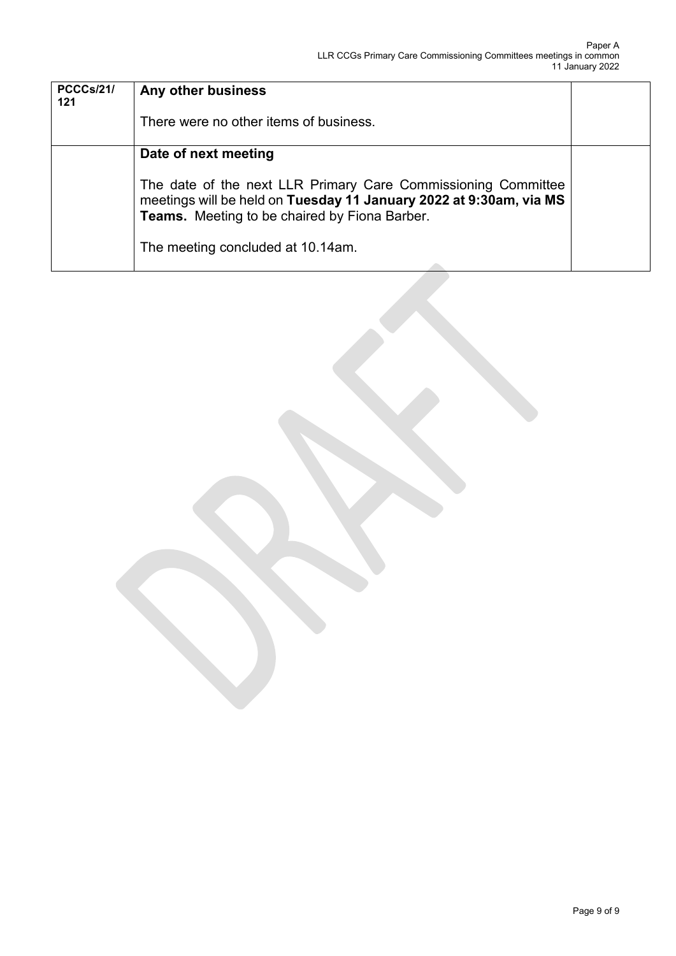| <b>PCCCs/21/</b><br>121 | Any other business                                                                                                                                                                   |  |
|-------------------------|--------------------------------------------------------------------------------------------------------------------------------------------------------------------------------------|--|
|                         | There were no other items of business.                                                                                                                                               |  |
|                         | Date of next meeting                                                                                                                                                                 |  |
|                         | The date of the next LLR Primary Care Commissioning Committee<br>meetings will be held on Tuesday 11 January 2022 at 9:30am, via MS<br>Teams. Meeting to be chaired by Fiona Barber. |  |
|                         | The meeting concluded at 10.14am.                                                                                                                                                    |  |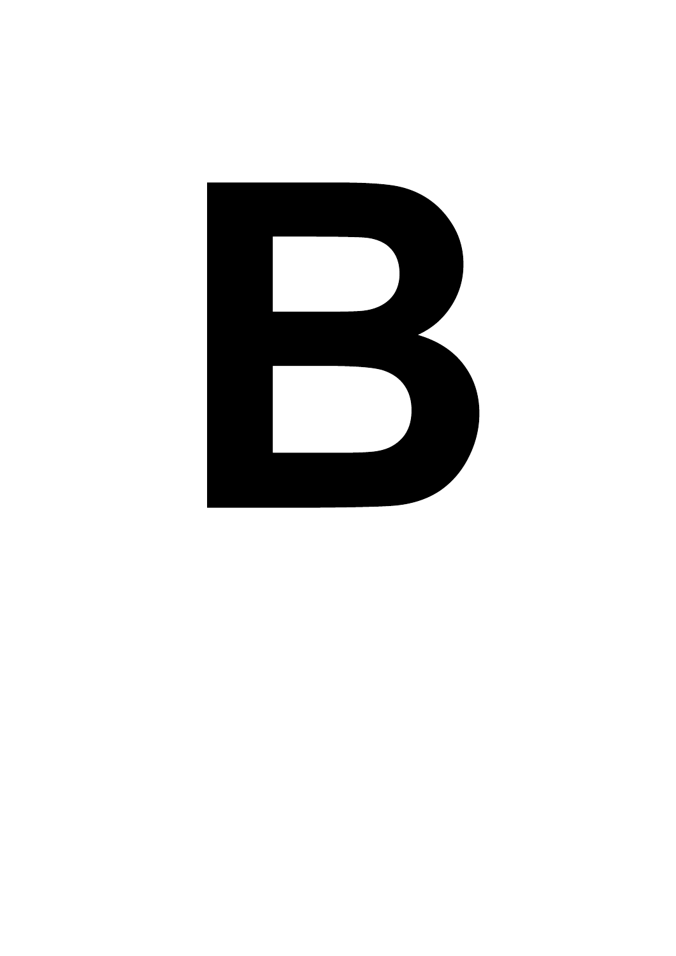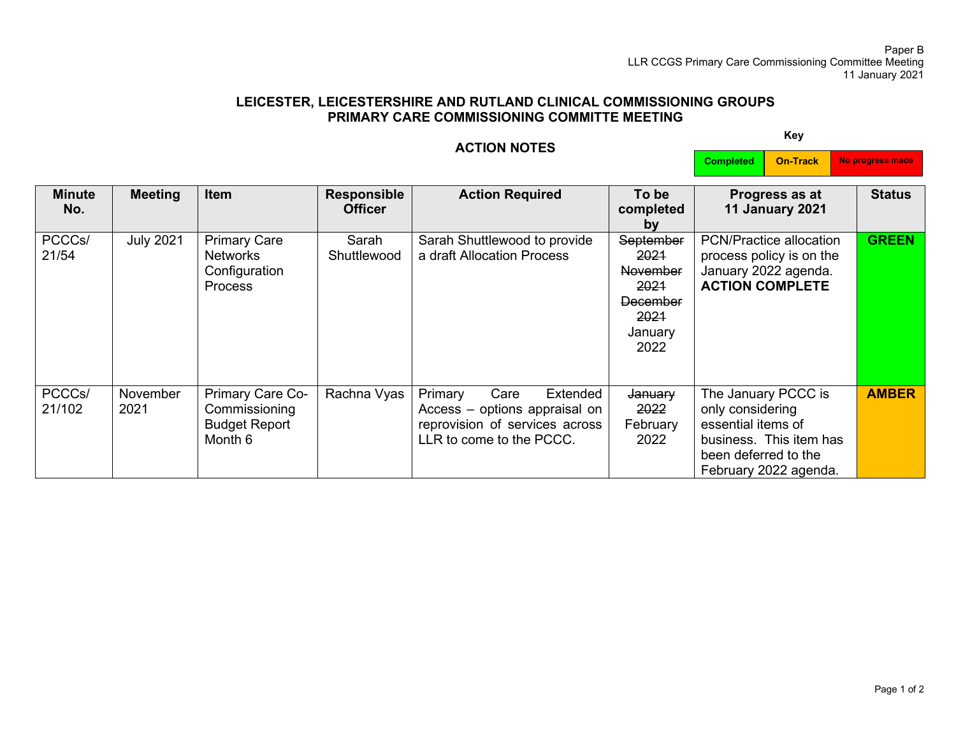#### Paper B LLR CCGS Primary Care Commissioning Committee Meeting 11 January 2021

### **LEICESTER, LEICESTERSHIRE AND RUTLAND CLINICAL COMMISSIONING GROUPS PRIMARY CARE COMMISSIONING COMMITTE MEETING**

### **ACTION NOTES**

**Key**

**Completed On-Track No progress made**

| <b>Minute</b><br>No. | <b>Meeting</b>   | <b>Item</b>                                                               | <b>Responsible</b><br><b>Officer</b> | <b>Action Required</b>                                                                                                     | To be<br>completed<br>by                                                                   | Progress as at<br>11 January 2021                                                                                                         | <b>Status</b> |
|----------------------|------------------|---------------------------------------------------------------------------|--------------------------------------|----------------------------------------------------------------------------------------------------------------------------|--------------------------------------------------------------------------------------------|-------------------------------------------------------------------------------------------------------------------------------------------|---------------|
| PCCCs/<br>21/54      | <b>July 2021</b> | <b>Primary Care</b><br><b>Networks</b><br>Configuration<br><b>Process</b> | Sarah<br>Shuttlewood                 | Sarah Shuttlewood to provide<br>a draft Allocation Process                                                                 | September<br>2021<br><b>November</b><br>2021<br><b>December</b><br>2021<br>January<br>2022 | <b>PCN/Practice allocation</b><br>process policy is on the<br>January 2022 agenda.<br><b>ACTION COMPLETE</b>                              | <b>GREEN</b>  |
| PCCCs/<br>21/102     | November<br>2021 | Primary Care Co-<br>Commissioning<br><b>Budget Report</b><br>Month 6      | Rachna Vyas                          | Primary<br>Extended<br>Care<br>Access - options appraisal on<br>reprovision of services across<br>LLR to come to the PCCC. | January<br>2022<br>February<br>2022                                                        | The January PCCC is<br>only considering<br>essential items of<br>business. This item has<br>been deferred to the<br>February 2022 agenda. | <b>AMBER</b>  |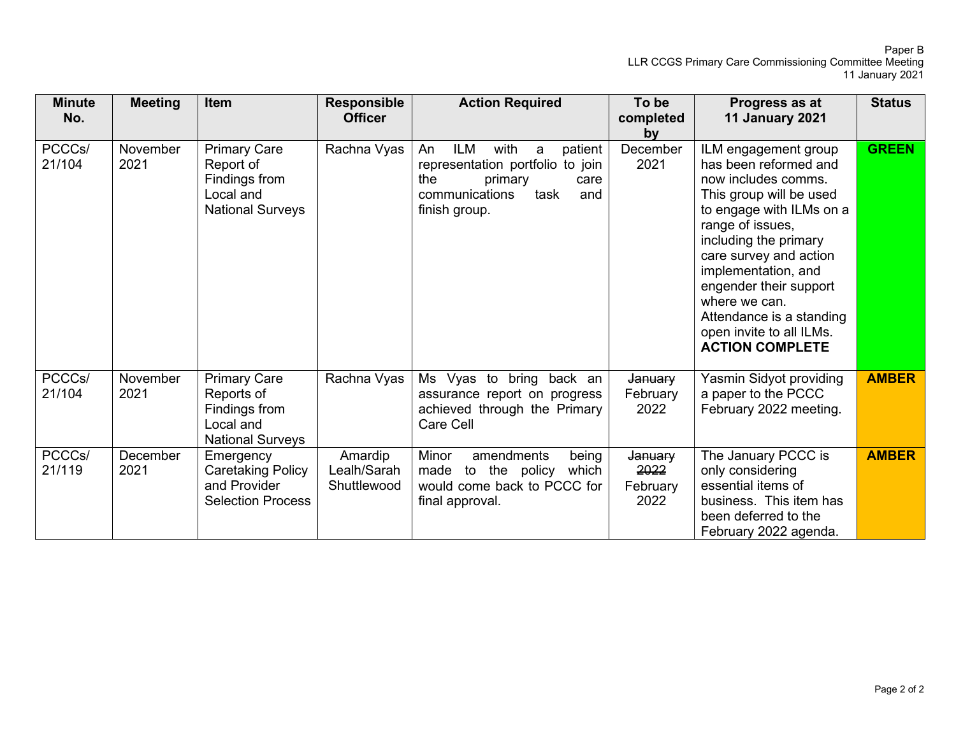Paper B LLR CCGS Primary Care Commissioning Committee Meeting 11 January 2021

| <b>Minute</b><br>No. | <b>Meeting</b>          | Item                                                                                       | <b>Responsible</b><br><b>Officer</b>  | <b>Action Required</b>                                                                                                                               | To be<br>completed<br>by            | Progress as at<br><b>11 January 2021</b>                                                                                                                                                                                                                                                                                                               | <b>Status</b> |
|----------------------|-------------------------|--------------------------------------------------------------------------------------------|---------------------------------------|------------------------------------------------------------------------------------------------------------------------------------------------------|-------------------------------------|--------------------------------------------------------------------------------------------------------------------------------------------------------------------------------------------------------------------------------------------------------------------------------------------------------------------------------------------------------|---------------|
| PCCCs/<br>21/104     | November<br>2021        | <b>Primary Care</b><br>Report of<br>Findings from<br>Local and<br><b>National Surveys</b>  | Rachna Vyas                           | ILM<br>with<br>patient<br>An<br>a<br>representation portfolio<br>to join<br>the<br>primary<br>care<br>communications<br>task<br>and<br>finish group. | December<br>2021                    | ILM engagement group<br>has been reformed and<br>now includes comms.<br>This group will be used<br>to engage with ILMs on a<br>range of issues,<br>including the primary<br>care survey and action<br>implementation, and<br>engender their support<br>where we can.<br>Attendance is a standing<br>open invite to all ILMs.<br><b>ACTION COMPLETE</b> | <b>GREEN</b>  |
| PCCCs/<br>21/104     | November<br>2021        | <b>Primary Care</b><br>Reports of<br>Findings from<br>Local and<br><b>National Surveys</b> | Rachna Vyas                           | Ms Vyas to<br>bring back an<br>assurance report on progress<br>achieved through the Primary<br>Care Cell                                             | January<br>February<br>2022         | Yasmin Sidyot providing<br>a paper to the PCCC<br>February 2022 meeting.                                                                                                                                                                                                                                                                               | <b>AMBER</b>  |
| PCCCs/<br>21/119     | <b>December</b><br>2021 | Emergency<br><b>Caretaking Policy</b><br>and Provider<br><b>Selection Process</b>          | Amardip<br>Lealh/Sarah<br>Shuttlewood | Minor<br>amendments<br>being<br>to the policy<br>which<br>made<br>would come back to PCCC for<br>final approval.                                     | January<br>2022<br>February<br>2022 | The January PCCC is<br>only considering<br>essential items of<br>business. This item has<br>been deferred to the<br>February 2022 agenda.                                                                                                                                                                                                              | <b>AMBER</b>  |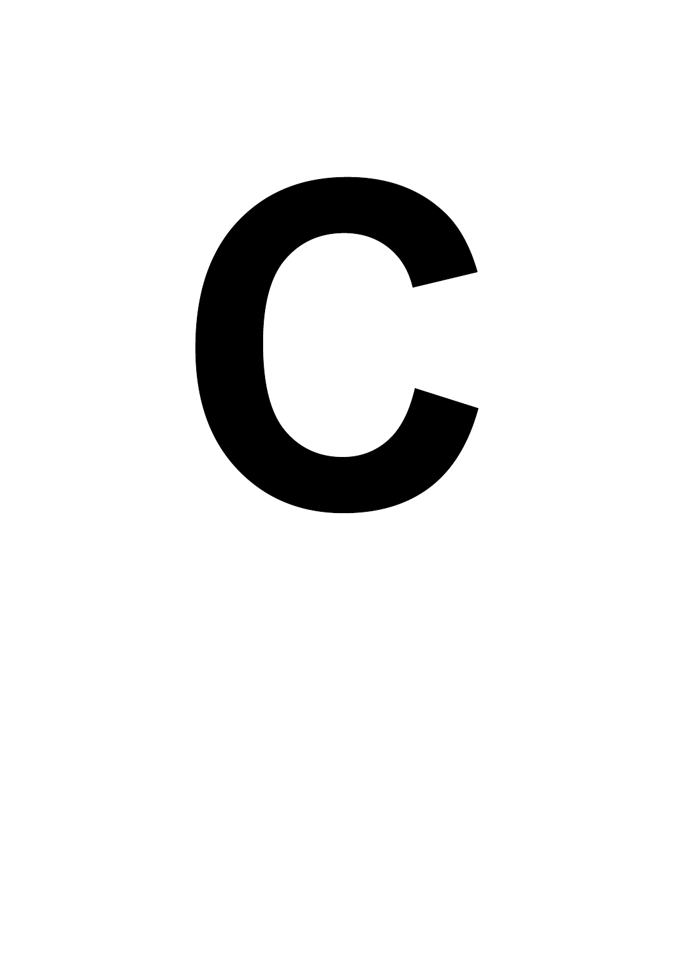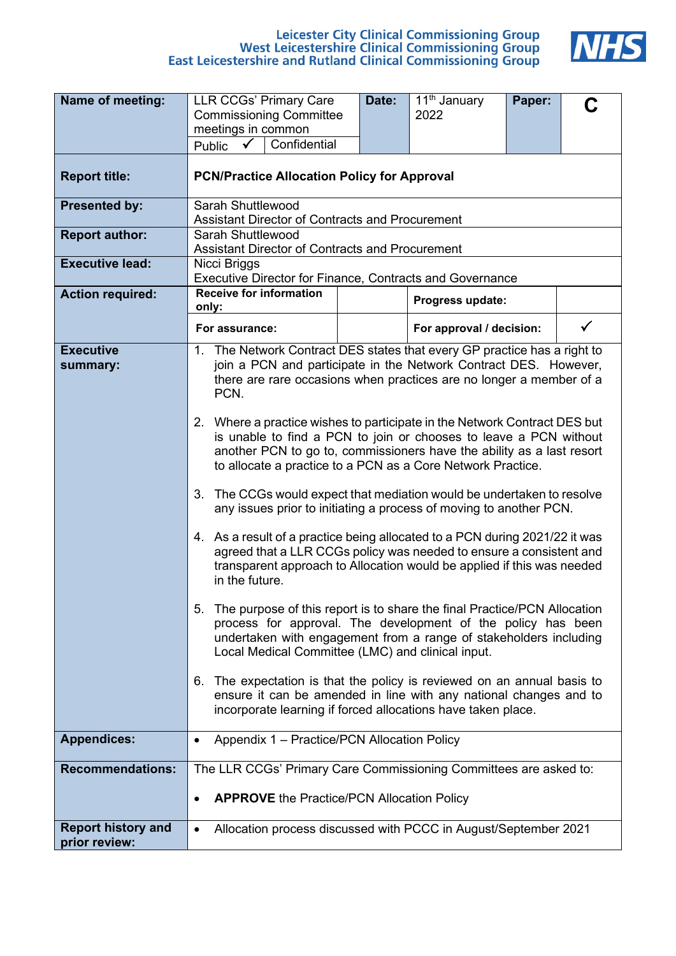# Leicester City Clinical Commissioning Group<br>West Leicestershire Clinical Commissioning Group<br>East Leicestershire and Rutland Clinical Commissioning Group



| Name of meeting:                           | <b>LLR CCGs' Primary Care</b>                                                                                                                                                                                                                                                          | Date:                                           | $\overline{1}1^{\text{th}}$ January<br>2022 | Paper: |   |
|--------------------------------------------|----------------------------------------------------------------------------------------------------------------------------------------------------------------------------------------------------------------------------------------------------------------------------------------|-------------------------------------------------|---------------------------------------------|--------|---|
|                                            | <b>Commissioning Committee</b><br>meetings in common                                                                                                                                                                                                                                   |                                                 |                                             |        |   |
|                                            | Confidential<br>Public<br>$\checkmark$                                                                                                                                                                                                                                                 |                                                 |                                             |        |   |
| <b>Report title:</b>                       | <b>PCN/Practice Allocation Policy for Approval</b>                                                                                                                                                                                                                                     |                                                 |                                             |        |   |
| <b>Presented by:</b>                       | Sarah Shuttlewood                                                                                                                                                                                                                                                                      | Assistant Director of Contracts and Procurement |                                             |        |   |
| <b>Report author:</b>                      | Sarah Shuttlewood<br>Assistant Director of Contracts and Procurement                                                                                                                                                                                                                   |                                                 |                                             |        |   |
| <b>Executive lead:</b>                     | Nicci Briggs<br>Executive Director for Finance, Contracts and Governance                                                                                                                                                                                                               |                                                 |                                             |        |   |
| <b>Action required:</b>                    | <b>Receive for information</b><br>only:                                                                                                                                                                                                                                                |                                                 | Progress update:                            |        |   |
|                                            | For assurance:                                                                                                                                                                                                                                                                         |                                                 | For approval / decision:                    |        | ✓ |
| <b>Executive</b><br>summary:               | 1. The Network Contract DES states that every GP practice has a right to<br>join a PCN and participate in the Network Contract DES. However,<br>there are rare occasions when practices are no longer a member of a<br>PCN.                                                            |                                                 |                                             |        |   |
|                                            | 2. Where a practice wishes to participate in the Network Contract DES but<br>is unable to find a PCN to join or chooses to leave a PCN without<br>another PCN to go to, commissioners have the ability as a last resort<br>to allocate a practice to a PCN as a Core Network Practice. |                                                 |                                             |        |   |
|                                            | The CCGs would expect that mediation would be undertaken to resolve<br>3.<br>any issues prior to initiating a process of moving to another PCN.                                                                                                                                        |                                                 |                                             |        |   |
|                                            | 4. As a result of a practice being allocated to a PCN during 2021/22 it was<br>agreed that a LLR CCGs policy was needed to ensure a consistent and<br>transparent approach to Allocation would be applied if this was needed<br>in the future.                                         |                                                 |                                             |        |   |
|                                            | The purpose of this report is to share the final Practice/PCN Allocation<br>5.<br>process for approval. The development of the policy has been<br>undertaken with engagement from a range of stakeholders including<br>Local Medical Committee (LMC) and clinical input.               |                                                 |                                             |        |   |
|                                            | The expectation is that the policy is reviewed on an annual basis to<br>6.<br>ensure it can be amended in line with any national changes and to<br>incorporate learning if forced allocations have taken place.                                                                        |                                                 |                                             |        |   |
| <b>Appendices:</b>                         | Appendix 1 - Practice/PCN Allocation Policy<br>٠                                                                                                                                                                                                                                       |                                                 |                                             |        |   |
| <b>Recommendations:</b>                    | The LLR CCGs' Primary Care Commissioning Committees are asked to:                                                                                                                                                                                                                      |                                                 |                                             |        |   |
|                                            | <b>APPROVE</b> the Practice/PCN Allocation Policy                                                                                                                                                                                                                                      |                                                 |                                             |        |   |
| <b>Report history and</b><br>prior review: | Allocation process discussed with PCCC in August/September 2021                                                                                                                                                                                                                        |                                                 |                                             |        |   |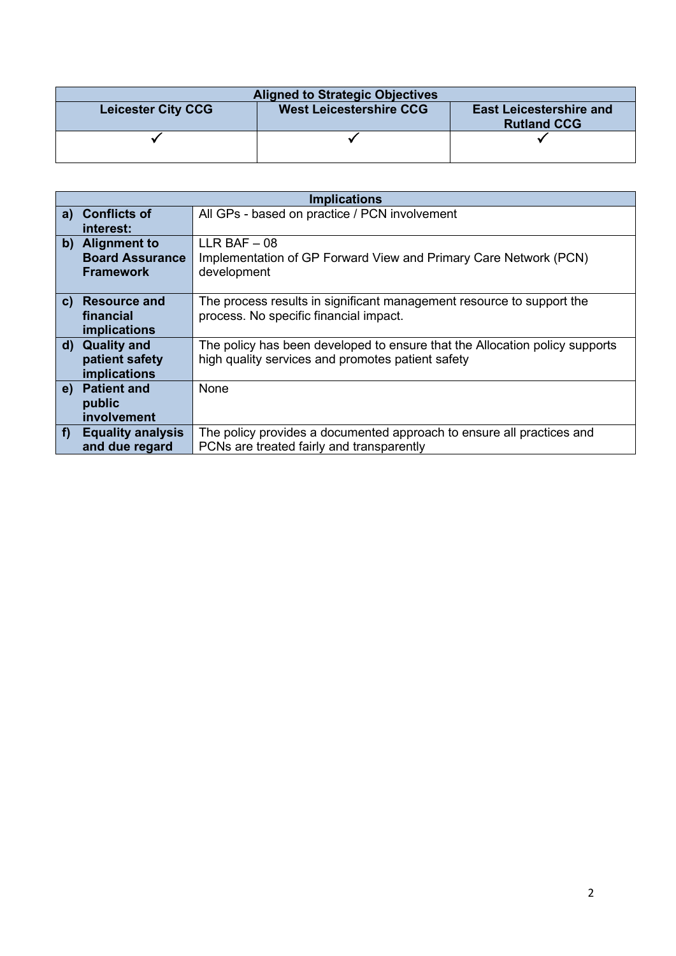| <b>Aligned to Strategic Objectives</b> |                                |                                                      |  |  |  |
|----------------------------------------|--------------------------------|------------------------------------------------------|--|--|--|
| <b>Leicester City CCG</b>              | <b>West Leicestershire CCG</b> | <b>East Leicestershire and</b><br><b>Rutland CCG</b> |  |  |  |
|                                        |                                |                                                      |  |  |  |

|              |                          | <b>Implications</b>                                                         |
|--------------|--------------------------|-----------------------------------------------------------------------------|
| a)           | <b>Conflicts of</b>      | All GPs - based on practice / PCN involvement                               |
|              | interest:                |                                                                             |
|              | b) Alignment to          | $LLR$ BAF $-08$                                                             |
|              | <b>Board Assurance</b>   | Implementation of GP Forward View and Primary Care Network (PCN)            |
|              | <b>Framework</b>         | development                                                                 |
|              |                          |                                                                             |
| $\mathbf{C}$ | <b>Resource and</b>      | The process results in significant management resource to support the       |
|              | financial                | process. No specific financial impact.                                      |
|              | implications             |                                                                             |
|              | d) Quality and           | The policy has been developed to ensure that the Allocation policy supports |
|              | patient safety           | high quality services and promotes patient safety                           |
|              | implications             |                                                                             |
| e)           | <b>Patient and</b>       | None                                                                        |
|              | public                   |                                                                             |
|              | involvement              |                                                                             |
| f            | <b>Equality analysis</b> | The policy provides a documented approach to ensure all practices and       |
|              | and due regard           | PCNs are treated fairly and transparently                                   |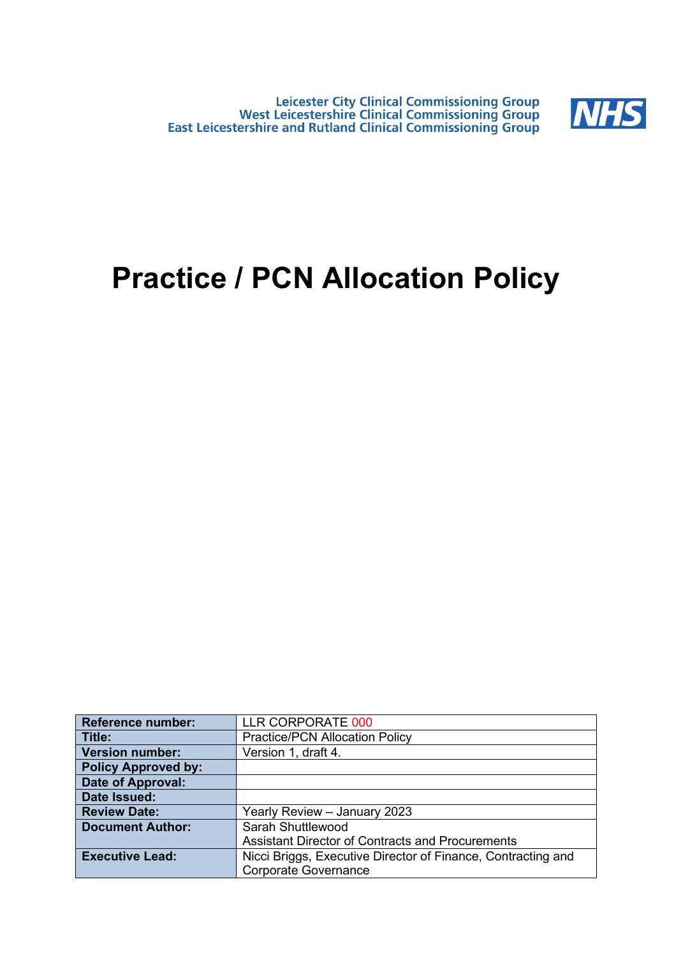Leicester City Clinical Commissioning Group<br>West Leicestershire Clinical Commissioning Group<br>East Leicestershire and Rutland Clinical Commissioning Group



### **Practice / PCN Allocation Policy**

| <b>Reference number:</b>   | LLR CORPORATE 000                                            |
|----------------------------|--------------------------------------------------------------|
| Title:                     | <b>Practice/PCN Allocation Policy</b>                        |
| <b>Version number:</b>     | Version 1, draft 4.                                          |
| <b>Policy Approved by:</b> |                                                              |
| <b>Date of Approval:</b>   |                                                              |
| Date Issued:               |                                                              |
| <b>Review Date:</b>        | Yearly Review - January 2023                                 |
| <b>Document Author:</b>    | Sarah Shuttlewood                                            |
|                            | <b>Assistant Director of Contracts and Procurements</b>      |
| <b>Executive Lead:</b>     | Nicci Briggs, Executive Director of Finance, Contracting and |
|                            | <b>Corporate Governance</b>                                  |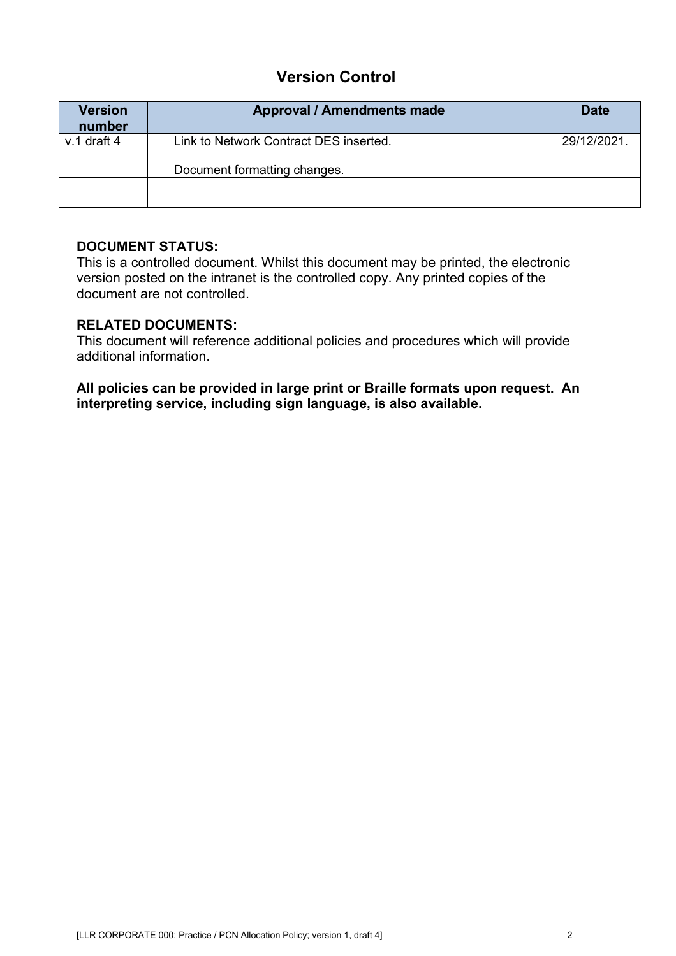### **Version Control**

| <b>Version</b><br>number | <b>Approval / Amendments made</b>                                      | <b>Date</b> |
|--------------------------|------------------------------------------------------------------------|-------------|
| $v.1$ draft 4            | Link to Network Contract DES inserted.<br>Document formatting changes. | 29/12/2021. |
|                          |                                                                        |             |

### **DOCUMENT STATUS:**

This is a controlled document. Whilst this document may be printed, the electronic version posted on the intranet is the controlled copy. Any printed copies of the document are not controlled.

### **RELATED DOCUMENTS:**

This document will reference additional policies and procedures which will provide additional information.

**All policies can be provided in large print or Braille formats upon request. An interpreting service, including sign language, is also available.**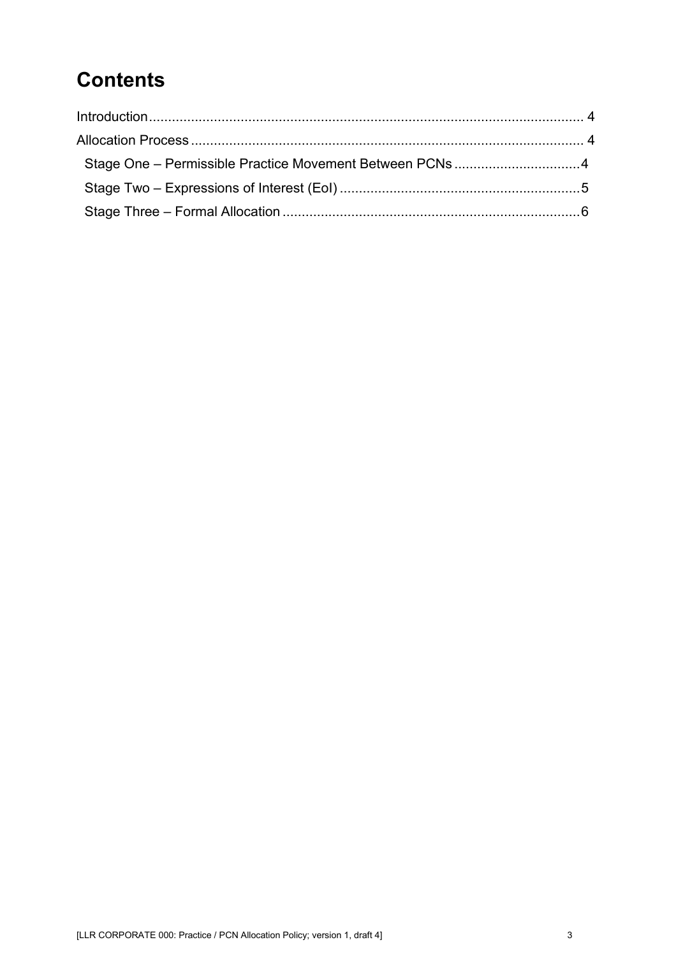### **Contents**

| Stage One - Permissible Practice Movement Between PCNs 4 |  |
|----------------------------------------------------------|--|
|                                                          |  |
|                                                          |  |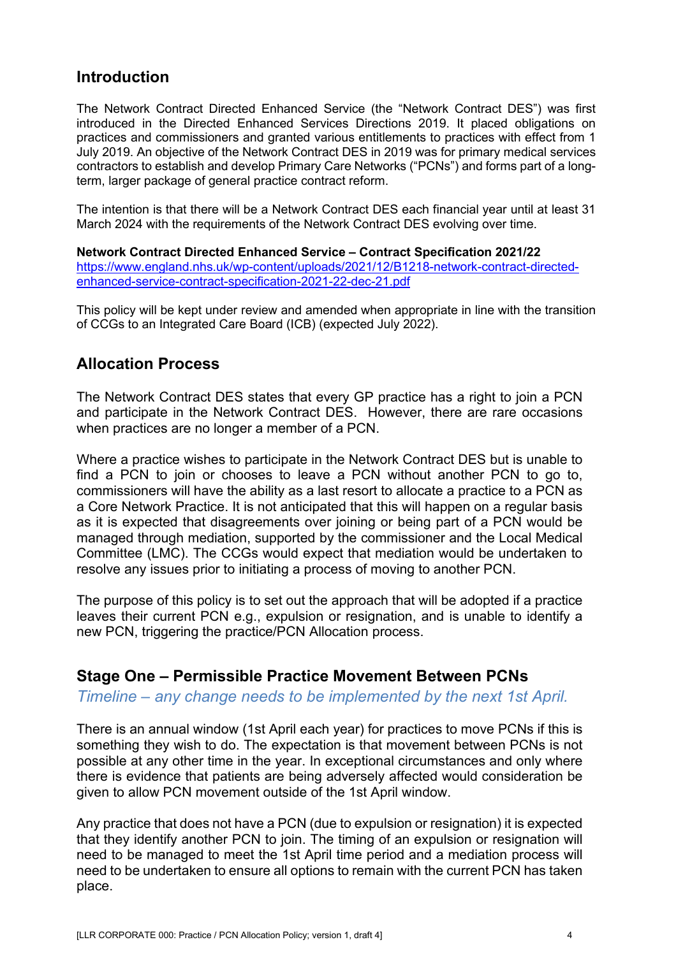### <span id="page-21-0"></span>**Introduction**

The Network Contract Directed Enhanced Service (the "Network Contract DES") was first introduced in the Directed Enhanced Services Directions 2019. It placed obligations on practices and commissioners and granted various entitlements to practices with effect from 1 July 2019. An objective of the Network Contract DES in 2019 was for primary medical services contractors to establish and develop Primary Care Networks ("PCNs") and forms part of a longterm, larger package of general practice contract reform.

The intention is that there will be a Network Contract DES each financial year until at least 31 March 2024 with the requirements of the Network Contract DES evolving over time.

**Network Contract Directed Enhanced Service – Contract Specification 2021/22** [https://www.england.nhs.uk/wp-content/uploads/2021/12/B1218-network-contract-directed](https://www.england.nhs.uk/wp-content/uploads/2021/12/B1218-network-contract-directed-enhanced-service-contract-specification-2021-22-dec-21.pdf)[enhanced-service-contract-specification-2021-22-dec-21.pdf](https://www.england.nhs.uk/wp-content/uploads/2021/12/B1218-network-contract-directed-enhanced-service-contract-specification-2021-22-dec-21.pdf)

This policy will be kept under review and amended when appropriate in line with the transition of CCGs to an Integrated Care Board (ICB) (expected July 2022).

### <span id="page-21-1"></span>**Allocation Process**

The Network Contract DES states that every GP practice has a right to join a PCN and participate in the Network Contract DES. However, there are rare occasions when practices are no longer a member of a PCN.

Where a practice wishes to participate in the Network Contract DES but is unable to find a PCN to join or chooses to leave a PCN without another PCN to go to, commissioners will have the ability as a last resort to allocate a practice to a PCN as a Core Network Practice. It is not anticipated that this will happen on a regular basis as it is expected that disagreements over joining or being part of a PCN would be managed through mediation, supported by the commissioner and the Local Medical Committee (LMC). The CCGs would expect that mediation would be undertaken to resolve any issues prior to initiating a process of moving to another PCN.

The purpose of this policy is to set out the approach that will be adopted if a practice leaves their current PCN e.g., expulsion or resignation, and is unable to identify a new PCN, triggering the practice/PCN Allocation process.

### <span id="page-21-2"></span>**Stage One – Permissible Practice Movement Between PCNs**

*Timeline – any change needs to be implemented by the next 1st April.*

There is an annual window (1st April each year) for practices to move PCNs if this is something they wish to do. The expectation is that movement between PCNs is not possible at any other time in the year. In exceptional circumstances and only where there is evidence that patients are being adversely affected would consideration be given to allow PCN movement outside of the 1st April window.

Any practice that does not have a PCN (due to expulsion or resignation) it is expected that they identify another PCN to join. The timing of an expulsion or resignation will need to be managed to meet the 1st April time period and a mediation process will need to be undertaken to ensure all options to remain with the current PCN has taken place.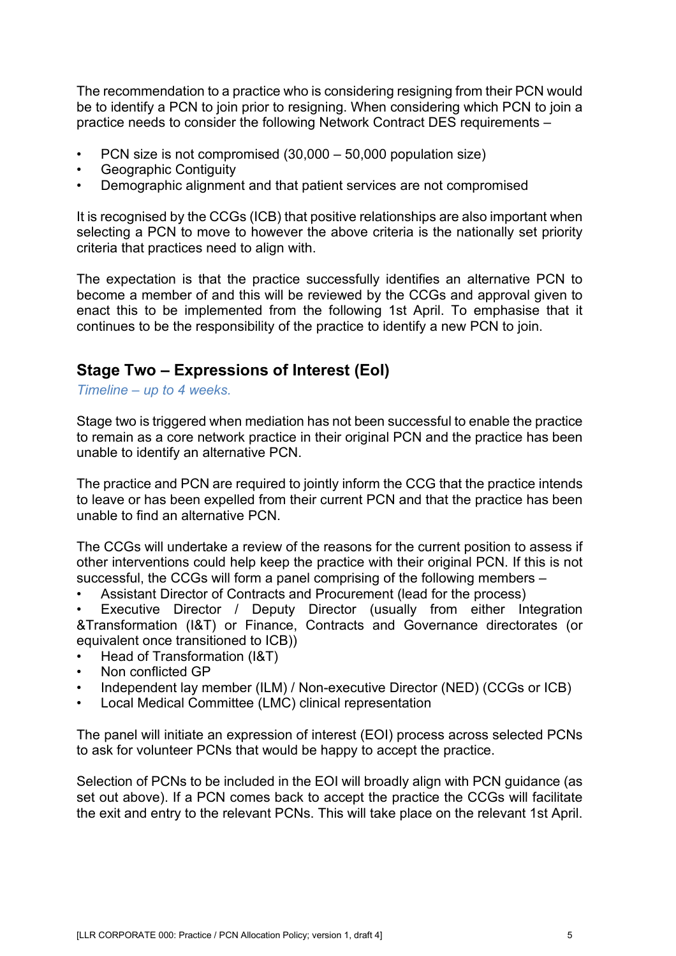The recommendation to a practice who is considering resigning from their PCN would be to identify a PCN to join prior to resigning. When considering which PCN to join a practice needs to consider the following Network Contract DES requirements –

- PCN size is not compromised (30,000 50,000 population size)
- Geographic Contiguity
- Demographic alignment and that patient services are not compromised

It is recognised by the CCGs (ICB) that positive relationships are also important when selecting a PCN to move to however the above criteria is the nationally set priority criteria that practices need to align with.

The expectation is that the practice successfully identifies an alternative PCN to become a member of and this will be reviewed by the CCGs and approval given to enact this to be implemented from the following 1st April. To emphasise that it continues to be the responsibility of the practice to identify a new PCN to join.

### <span id="page-22-0"></span>**Stage Two – Expressions of Interest (EoI)**

*Timeline – up to 4 weeks.*

Stage two is triggered when mediation has not been successful to enable the practice to remain as a core network practice in their original PCN and the practice has been unable to identify an alternative PCN.

The practice and PCN are required to jointly inform the CCG that the practice intends to leave or has been expelled from their current PCN and that the practice has been unable to find an alternative PCN.

The CCGs will undertake a review of the reasons for the current position to assess if other interventions could help keep the practice with their original PCN. If this is not successful, the CCGs will form a panel comprising of the following members –

• Assistant Director of Contracts and Procurement (lead for the process)

• Executive Director / Deputy Director (usually from either Integration &Transformation (I&T) or Finance, Contracts and Governance directorates (or equivalent once transitioned to ICB))

- Head of Transformation (I&T)
- Non conflicted GP
- Independent lay member (ILM) / Non-executive Director (NED) (CCGs or ICB)
- Local Medical Committee (LMC) clinical representation

The panel will initiate an expression of interest (EOI) process across selected PCNs to ask for volunteer PCNs that would be happy to accept the practice.

Selection of PCNs to be included in the EOI will broadly align with PCN guidance (as set out above). If a PCN comes back to accept the practice the CCGs will facilitate the exit and entry to the relevant PCNs. This will take place on the relevant 1st April.